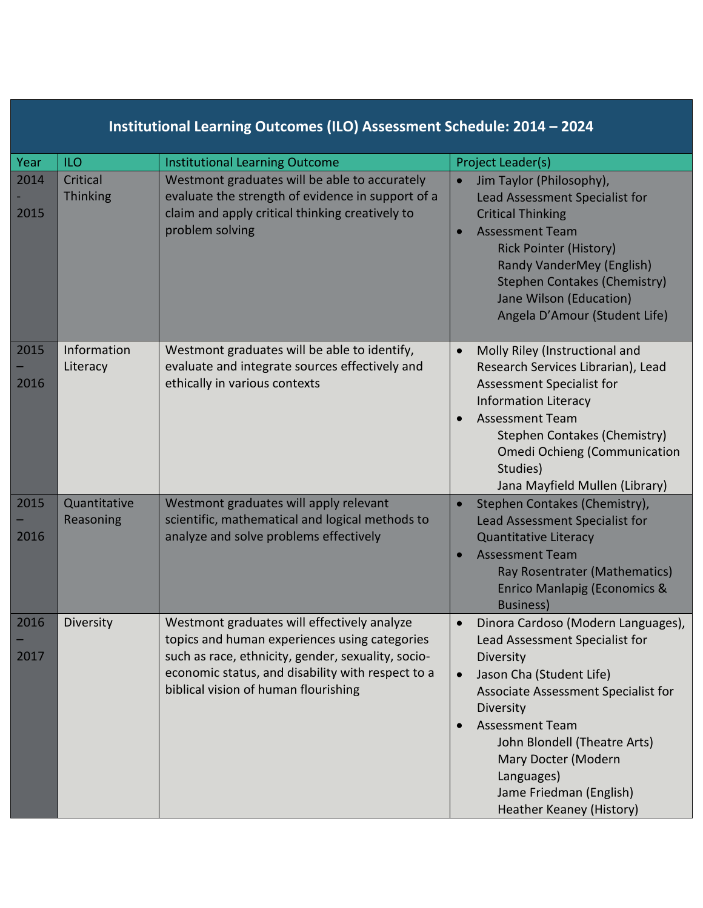| Institutional Learning Outcomes (ILO) Assessment Schedule: 2014 - 2024 |                             |                                                                                                                                                                                                                                                 |                                                                                                                                                                                                                                                                                                                         |  |  |
|------------------------------------------------------------------------|-----------------------------|-------------------------------------------------------------------------------------------------------------------------------------------------------------------------------------------------------------------------------------------------|-------------------------------------------------------------------------------------------------------------------------------------------------------------------------------------------------------------------------------------------------------------------------------------------------------------------------|--|--|
| Year                                                                   | <b>ILO</b>                  | <b>Institutional Learning Outcome</b>                                                                                                                                                                                                           | Project Leader(s)                                                                                                                                                                                                                                                                                                       |  |  |
| 2014<br>2015                                                           | Critical<br><b>Thinking</b> | Westmont graduates will be able to accurately<br>evaluate the strength of evidence in support of a<br>claim and apply critical thinking creatively to<br>problem solving                                                                        | Jim Taylor (Philosophy),<br>$\bullet$<br>Lead Assessment Specialist for<br><b>Critical Thinking</b><br><b>Assessment Team</b><br>$\bullet$<br><b>Rick Pointer (History)</b><br>Randy VanderMey (English)<br><b>Stephen Contakes (Chemistry)</b><br>Jane Wilson (Education)<br>Angela D'Amour (Student Life)             |  |  |
| 2015<br>2016                                                           | Information<br>Literacy     | Westmont graduates will be able to identify,<br>evaluate and integrate sources effectively and<br>ethically in various contexts                                                                                                                 | Molly Riley (Instructional and<br>$\bullet$<br>Research Services Librarian), Lead<br><b>Assessment Specialist for</b><br><b>Information Literacy</b><br><b>Assessment Team</b><br>Stephen Contakes (Chemistry)<br><b>Omedi Ochieng (Communication</b><br>Studies)<br>Jana Mayfield Mullen (Library)                     |  |  |
| 2015<br>2016                                                           | Quantitative<br>Reasoning   | Westmont graduates will apply relevant<br>scientific, mathematical and logical methods to<br>analyze and solve problems effectively                                                                                                             | Stephen Contakes (Chemistry),<br>$\bullet$<br>Lead Assessment Specialist for<br><b>Quantitative Literacy</b><br><b>Assessment Team</b><br>$\bullet$<br>Ray Rosentrater (Mathematics)<br><b>Enrico Manlapig (Economics &amp;</b><br><b>Business)</b>                                                                     |  |  |
| 2016<br>2017                                                           | Diversity                   | Westmont graduates will effectively analyze<br>topics and human experiences using categories<br>such as race, ethnicity, gender, sexuality, socio-<br>economic status, and disability with respect to a<br>biblical vision of human flourishing | Dinora Cardoso (Modern Languages),<br>Lead Assessment Specialist for<br>Diversity<br>Jason Cha (Student Life)<br>Associate Assessment Specialist for<br>Diversity<br><b>Assessment Team</b><br>John Blondell (Theatre Arts)<br>Mary Docter (Modern<br>Languages)<br>Jame Friedman (English)<br>Heather Keaney (History) |  |  |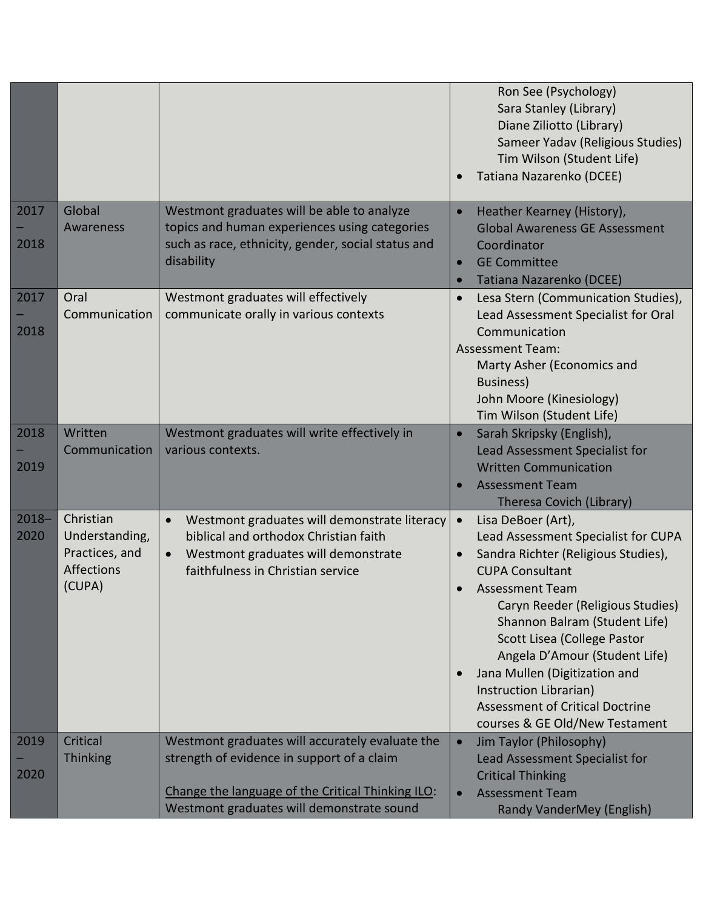|                  |                                                                       |                                                                                                                                                                                                 | Ron See (Psychology)<br>Sara Stanley (Library)<br>Diane Ziliotto (Library)<br>Sameer Yadav (Religious Studies)<br>Tim Wilson (Student Life)<br>Tatiana Nazarenko (DCEE)                                                                                                                                                                                                                                                                       |
|------------------|-----------------------------------------------------------------------|-------------------------------------------------------------------------------------------------------------------------------------------------------------------------------------------------|-----------------------------------------------------------------------------------------------------------------------------------------------------------------------------------------------------------------------------------------------------------------------------------------------------------------------------------------------------------------------------------------------------------------------------------------------|
| 2017<br>2018     | Global<br>Awareness                                                   | Westmont graduates will be able to analyze<br>topics and human experiences using categories<br>such as race, ethnicity, gender, social status and<br>disability                                 | Heather Kearney (History),<br><b>Global Awareness GE Assessment</b><br>Coordinator<br><b>GE Committee</b><br>$\bullet$<br>Tatiana Nazarenko (DCEE)                                                                                                                                                                                                                                                                                            |
| 2017<br>2018     | Oral<br>Communication                                                 | Westmont graduates will effectively<br>communicate orally in various contexts                                                                                                                   | Lesa Stern (Communication Studies),<br>$\bullet$<br>Lead Assessment Specialist for Oral<br>Communication<br><b>Assessment Team:</b><br>Marty Asher (Economics and<br>Business)<br>John Moore (Kinesiology)<br>Tim Wilson (Student Life)                                                                                                                                                                                                       |
| 2018<br>2019     | Written<br>Communication                                              | Westmont graduates will write effectively in<br>various contexts.                                                                                                                               | Sarah Skripsky (English),<br>Lead Assessment Specialist for<br><b>Written Communication</b><br><b>Assessment Team</b><br>Theresa Covich (Library)                                                                                                                                                                                                                                                                                             |
| $2018 -$<br>2020 | Christian<br>Understanding,<br>Practices, and<br>Affections<br>(CUPA) | Westmont graduates will demonstrate literacy<br>biblical and orthodox Christian faith<br>Westmont graduates will demonstrate<br>faithfulness in Christian service                               | Lisa DeBoer (Art),<br>$\bullet$<br>Lead Assessment Specialist for CUPA<br>Sandra Richter (Religious Studies),<br><b>CUPA Consultant</b><br><b>Assessment Team</b><br>Caryn Reeder (Religious Studies)<br>Shannon Balram (Student Life)<br>Scott Lisea (College Pastor<br>Angela D'Amour (Student Life)<br>Jana Mullen (Digitization and<br>Instruction Librarian)<br><b>Assessment of Critical Doctrine</b><br>courses & GE Old/New Testament |
| 2019<br>2020     | Critical<br><b>Thinking</b>                                           | Westmont graduates will accurately evaluate the<br>strength of evidence in support of a claim<br>Change the language of the Critical Thinking ILO:<br>Westmont graduates will demonstrate sound | Jim Taylor (Philosophy)<br>$\bullet$<br>Lead Assessment Specialist for<br><b>Critical Thinking</b><br><b>Assessment Team</b><br>Randy VanderMey (English)                                                                                                                                                                                                                                                                                     |